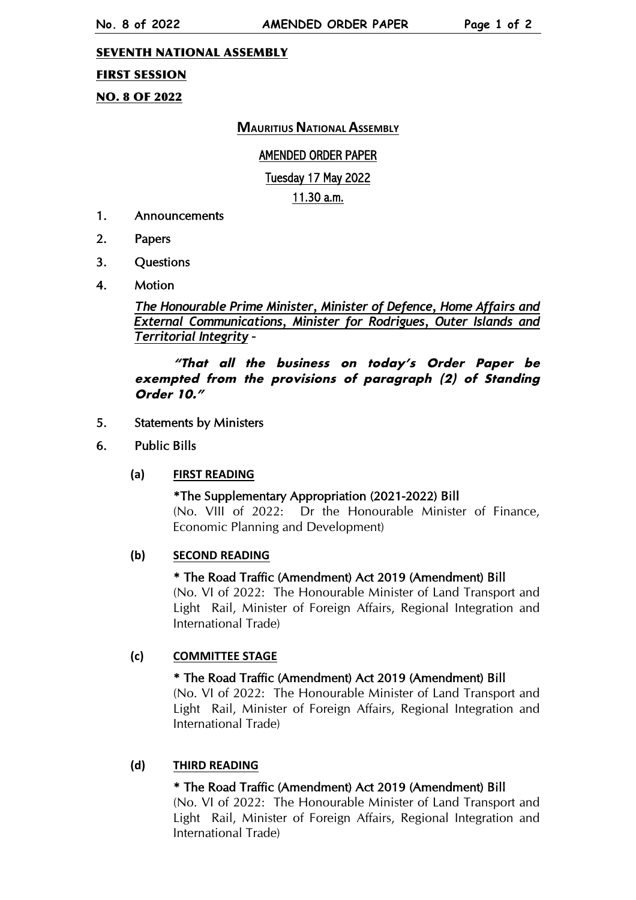#### SEVENTH NATIONAL ASSEMBLY

### FIRST SESSION

NO. 8 OF 2022

## **MAURITIUS NATIONAL ASSEMBLY**

### AMENDED ORDER PAPER

### Tuesday 17 May 2022

11.30 a.m.

- 1. Announcements
- 2. Papers
- 3. Questions
- 4. Motion

## *The Honourable Prime Minister, Minister of Defence, Home Affairs and External Communications, Minister for Rodrigues, Outer Islands and Territorial Integrity –*

## **"That all the business on today's Order Paper be exempted from the provisions of paragraph (2) of Standing Order 10."**

#### 5. Statements by Ministers

6. Public Bills

### **(a) FIRST READING**

#### \*The Supplementary Appropriation (2021-2022) Bill (No. VIII of 2022: Dr the Honourable Minister of Finance, Economic Planning and Development)

### **(b) SECOND READING**

#### \* The Road Traffic (Amendment) Act 2019 (Amendment) Bill

(No. VI of 2022: The Honourable Minister of Land Transport and Light Rail, Minister of Foreign Affairs, Regional Integration and International Trade)

### **(c) COMMITTEE STAGE**

#### \* The Road Traffic (Amendment) Act 2019 (Amendment) Bill

(No. VI of 2022: The Honourable Minister of Land Transport and Light Rail, Minister of Foreign Affairs, Regional Integration and International Trade)

### **(d) THIRD READING**

### \* The Road Traffic (Amendment) Act 2019 (Amendment) Bill

(No. VI of 2022: The Honourable Minister of Land Transport and Light Rail, Minister of Foreign Affairs, Regional Integration and International Trade)